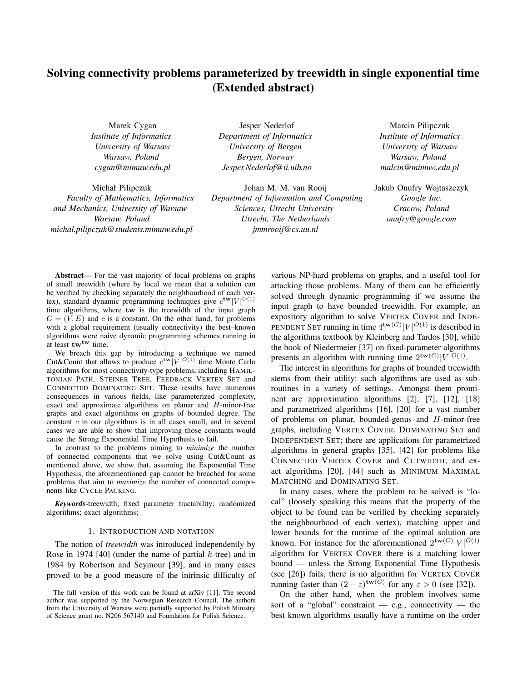# Solving connectivity problems parameterized by treewidth in single exponential time (Extended abstract)

Marek Cygan *Institute of Informatics University of Warsaw Warsaw, Poland cygan@mimuw.edu.pl*

Michał Pilipczuk *Faculty of Mathematics, Informatics and Mechanics, University of Warsaw Warsaw, Poland michal.pilipczuk@students.mimuw.edu.pl*

Jesper Nederlof *Department of Informatics University of Bergen Bergen, Norway Jesper.Nederlof@ii.uib.no*

Johan M. M. van Rooij *Department of Information and Computing Sciences, Utrecht University Utrecht, The Netherlands jmmrooij@cs.uu.nl*

Marcin Pilipczuk *Institute of Informatics University of Warsaw Warsaw, Poland malcin@mimuw.edu.pl*

Jakub Onufry Wojtaszczyk *Google Inc. Cracow, Poland onufry@google.com*

Abstract— For the vast majority of local problems on graphs of small treewidth (where by local we mean that a solution can be verified by checking separately the neighbourhood of each vertex), standard dynamic programming techniques give  $c^{tw}|V|^{O(1)}$ time algorithms, where tw is the treewidth of the input graph  $G = (V, E)$  and c is a constant. On the other hand, for problems with a global requirement (usually connectivity) the best–known algorithms were naive dynamic programming schemes running in at least  $tw^{tw}$  time.

We breach this gap by introducing a technique we named Cut&Count that allows to produce  $c^{tw}|V|^{O(1)}$  time Monte Carlo algorithms for most connectivity-type problems, including HAMIL-TONIAN PATH, STEINER TREE, FEEDBACK VERTEX SET and CONNECTED DOMINATING SET. These results have numerous consequences in various fields, like parameterized complexity, exact and approximate algorithms on planar and H-minor-free graphs and exact algorithms on graphs of bounded degree. The constant  $c$  in our algorithms is in all cases small, and in several cases we are able to show that improving those constants would cause the Strong Exponential Time Hypothesis to fail.

In contrast to the problems aiming to *minimize* the number of connected components that we solve using Cut&Count as mentioned above, we show that, assuming the Exponential Time Hypothesis, the aforementioned gap cannot be breached for some problems that aim to *maximize* the number of connected components like CYCLE PACKING.

*Keywords*-treewidth; fixed parameter tractability; randomized algorithms; exact algorithms;

#### 1. INTRODUCTION AND NOTATION

The notion of *treewidth* was introduced independently by Rose in 1974 [40] (under the name of partial  $k$ -tree) and in 1984 by Robertson and Seymour [39], and in many cases proved to be a good measure of the intrinsic difficulty of various NP-hard problems on graphs, and a useful tool for attacking those problems. Many of them can be efficiently solved through dynamic programming if we assume the input graph to have bounded treewidth. For example, an expository algorithm to solve VERTEX COVER and INDE-PENDENT SET running in time  $4^{\mathbf{tw}(G)}|V|^{O(1)}$  is described in the algorithms textbook by Kleinberg and Tardos [30], while the book of Niedermeier [37] on fixed-parameter algorithms presents an algorithm with running time  $2^{\mathbf{tw}(G)}|V|^{O(1)}$ .

The interest in algorithms for graphs of bounded treewidth stems from their utility: such algorithms are used as subroutines in a variety of settings. Amongst them prominent are approximation algorithms [2], [7], [12], [18] and parametrized algorithms [16], [20] for a vast number of problems on planar, bounded-genus and H-minor-free graphs, including VERTEX COVER, DOMINATING SET and INDEPENDENT SET; there are applications for parametrized algorithms in general graphs [35], [42] for problems like CONNECTED VERTEX COVER and CUTWIDTH; and exact algorithms [20], [44] such as MINIMUM MAXIMAL MATCHING and DOMINATING SET.

In many cases, where the problem to be solved is "local" (loosely speaking this means that the property of the object to be found can be verified by checking separately the neighbourhood of each vertex), matching upper and lower bounds for the runtime of the optimal solution are known. For instance for the aforementioned  $2^{\mathbf{tw}(G)}|V|^{O(1)}$ algorithm for VERTEX COVER there is a matching lower bound — unless the Strong Exponential Time Hypothesis (see [26]) fails, there is no algorithm for VERTEX COVER running faster than  $(2 - \varepsilon)^{tw(G)}$  for any  $\varepsilon > 0$  (see [32]).

On the other hand, when the problem involves some sort of a "global" constraint  $-$  e.g., connectivity  $-$  the best known algorithms usually have a runtime on the order

The full version of this work can be found at arXiv [11]. The second author was supported by the Norwegian Research Council. The authors from the University of Warsaw were partially supported by Polish Ministry of Science grant no. N206 567140 and Foundation for Polish Science.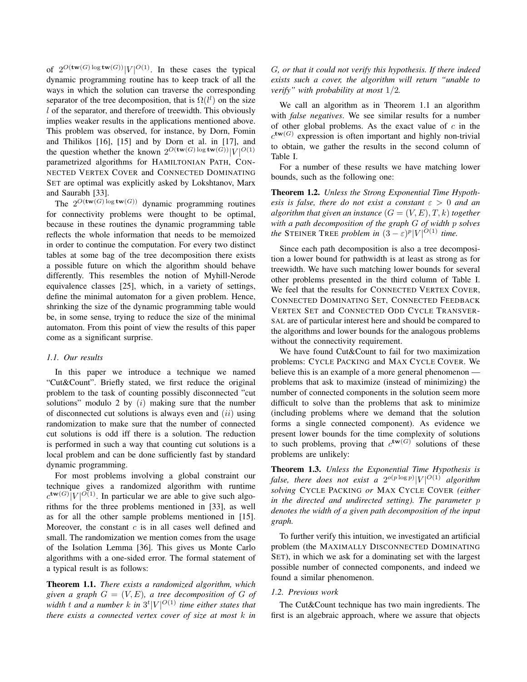of  $2^{O(\text{tw}(G) \log \text{tw}(G))} |V|^{O(1)}$ . In these cases the typical dynamic programming routine has to keep track of all the ways in which the solution can traverse the corresponding separator of the tree decomposition, that is  $\Omega(l^l)$  on the size l of the separator, and therefore of treewidth. This obviously implies weaker results in the applications mentioned above. This problem was observed, for instance, by Dorn, Fomin and Thilikos [16], [15] and by Dorn et al. in [17], and the question whether the known  $2^{O(\text{tw}(G) \log \text{tw}(G))} |V|^{O(1)}$ parametrized algorithms for HAMILTONIAN PATH, CON-NECTED VERTEX COVER and CONNECTED DOMINATING SET are optimal was explicitly asked by Lokshtanov, Marx and Saurabh [33].

The  $2^{O(\mathbf{tw}(G) \log \mathbf{tw}(G))}$  dynamic programming routines for connectivity problems were thought to be optimal, because in these routines the dynamic programming table reflects the whole information that needs to be memoized in order to continue the computation. For every two distinct tables at some bag of the tree decomposition there exists a possible future on which the algorithm should behave differently. This resembles the notion of Myhill-Nerode equivalence classes [25], which, in a variety of settings, define the minimal automaton for a given problem. Hence, shrinking the size of the dynamic programming table would be, in some sense, trying to reduce the size of the minimal automaton. From this point of view the results of this paper come as a significant surprise.

## *1.1. Our results*

In this paper we introduce a technique we named "Cut&Count". Briefly stated, we first reduce the original problem to the task of counting possibly disconnected "cut solutions" modulo 2 by  $(i)$  making sure that the number of disconnected cut solutions is always even and  $(ii)$  using randomization to make sure that the number of connected cut solutions is odd iff there is a solution. The reduction is performed in such a way that counting cut solutions is a local problem and can be done sufficiently fast by standard dynamic programming.

For most problems involving a global constraint our technique gives a randomized algorithm with runtime  $c^{\mathbf{tw}(G)}|V|^{O(1)}$ . In particular we are able to give such algorithms for the three problems mentioned in [33], as well as for all the other sample problems mentioned in [15]. Moreover, the constant  $c$  is in all cases well defined and small. The randomization we mention comes from the usage of the Isolation Lemma [36]. This gives us Monte Carlo algorithms with a one-sided error. The formal statement of a typical result is as follows:

Theorem 1.1. *There exists a randomized algorithm, which given a graph*  $G = (V, E)$ *, a tree decomposition of*  $G$  *of* width  $t$  and a number  $k$  in  $3^t |V|^{O(1)}$  time either states that *there exists a connected vertex cover of size at most* k *in*

G*, or that it could not verify this hypothesis. If there indeed exists such a cover, the algorithm will return "unable to verify" with probability at most* 1/2*.*

We call an algorithm as in Theorem 1.1 an algorithm with *false negatives*. We see similar results for a number of other global problems. As the exact value of  $c$  in the  $c^{\text{tw}(G)}$  expression is often important and highly non-trivial to obtain, we gather the results in the second column of Table I.

For a number of these results we have matching lower bounds, such as the following one:

Theorem 1.2. *Unless the Strong Exponential Time Hypothesis is false, there do not exist a constant*  $\varepsilon > 0$  *and an algorithm that given an instance*  $(G = (V, E), T, k)$  *together with a path decomposition of the graph* G *of width* p *solves the* STEINER TREE *problem in*  $(3 - \varepsilon)^p |V|^{O(1)}$  *time.* 

Since each path decomposition is also a tree decomposition a lower bound for pathwidth is at least as strong as for treewidth. We have such matching lower bounds for several other problems presented in the third column of Table I. We feel that the results for CONNECTED VERTEX COVER, CONNECTED DOMINATING SET, CONNECTED FEEDBACK VERTEX SET and CONNECTED ODD CYCLE TRANSVER-SAL are of particular interest here and should be compared to the algorithms and lower bounds for the analogous problems without the connectivity requirement.

We have found Cut&Count to fail for two maximization problems: CYCLE PACKING and MAX CYCLE COVER. We believe this is an example of a more general phenomenon problems that ask to maximize (instead of minimizing) the number of connected components in the solution seem more difficult to solve than the problems that ask to minimize (including problems where we demand that the solution forms a single connected component). As evidence we present lower bounds for the time complexity of solutions to such problems, proving that  $c^{\mathbf{tw}(G)}$  solutions of these problems are unlikely:

Theorem 1.3. *Unless the Exponential Time Hypothesis is* false, there does not exist a  $2^{o(p \log p)} |V|^{O(1)}$  algorithm *solving* CYCLE PACKING *or* MAX CYCLE COVER *(either in the directed and undirected setting). The parameter* p *denotes the width of a given path decomposition of the input graph.*

To further verify this intuition, we investigated an artificial problem (the MAXIMALLY DISCONNECTED DOMINATING SET), in which we ask for a dominating set with the largest possible number of connected components, and indeed we found a similar phenomenon.

#### *1.2. Previous work*

The Cut&Count technique has two main ingredients. The first is an algebraic approach, where we assure that objects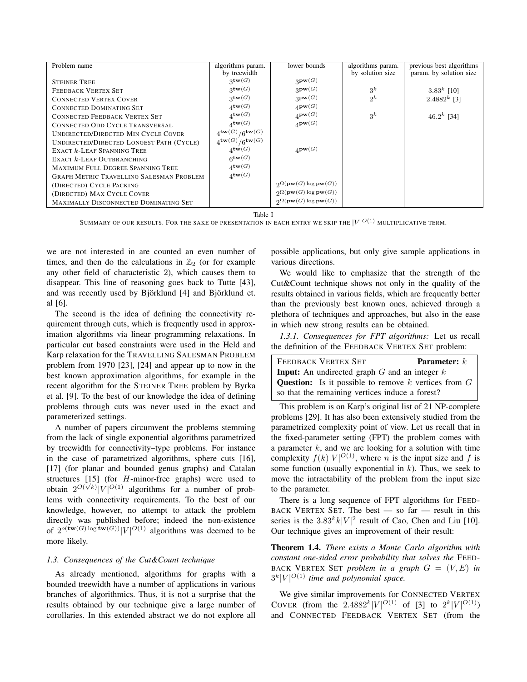| Problem name                                    | algorithms param.                       | lower bounds                                            | algorithms param. | previous best algorithms |
|-------------------------------------------------|-----------------------------------------|---------------------------------------------------------|-------------------|--------------------------|
|                                                 | by treewidth                            |                                                         | by solution size  | param. by solution size  |
| <b>STEINER TREE</b>                             | $3$ tw $(G)$                            | $3\mathbf{pw}(G)$                                       |                   |                          |
| FEEDBACK VERTEX SET                             | $3$ tw $(G)$                            | $3\mathbf{pw}(G)$                                       | $3^k$             | 3.83 <sup>k</sup> [10]   |
| <b>CONNECTED VERTEX COVER</b>                   | $3$ tw $(G)$                            | $3\mathbf{pw}(G)$                                       | $2^k$             | 2.4882 <sup>k</sup> [3]  |
| <b>CONNECTED DOMINATING SET</b>                 | $4$ tw $(G)$                            | $\mathbf{A}$ pw $(G)$                                   |                   |                          |
| <b>CONNECTED FEEDBACK VERTEX SET</b>            | $4^{\mathbf{tw}(G)}$                    | $4\mathbf{pw}(G)$                                       | $3^k$             | 46.2 <sup>k</sup> [34]   |
| <b>CONNECTED ODD CYCLE TRANSVERSAL</b>          | $4^{\mathbf{tw}(G)}$                    | $4$ pw $(G)$                                            |                   |                          |
| UNDIRECTED/DIRECTED MIN CYCLE COVER             | $4^{\mathbf{tw}(G)}/6^{\mathbf{tw}(G)}$ |                                                         |                   |                          |
| UNDIRECTED/DIRECTED LONGEST PATH (CYCLE)        | $4^{\mathbf{tw}(G)}/6^{\mathbf{tw}(G)}$ |                                                         |                   |                          |
| <b>EXACT k-LEAF SPANNING TREE</b>               | $4$ tw $(G)$                            | $\mathbf{A}$ pw $(G)$                                   |                   |                          |
| EXACT <i>k</i> -LEAF OUTBRANCHING               | $6$ tw $(G)$                            |                                                         |                   |                          |
| MAXIMUM FULL DEGREE SPANNING TREE               | $4^{\mathbf{tw}(G)}$                    |                                                         |                   |                          |
| <b>GRAPH METRIC TRAVELLING SALESMAN PROBLEM</b> | $4$ tw $(G)$                            |                                                         |                   |                          |
| (DIRECTED) CYCLE PACKING                        |                                         | $2^{\Omega(\mathbf{pw}(G)\log \mathbf{pw}(G))}$         |                   |                          |
| (DIRECTED) MAX CYCLE COVER                      |                                         | $\Omega(\mathbf{pw}(G)\log \mathbf{pw}(G))$             |                   |                          |
| MAXIMALLY DISCONNECTED DOMINATING SET           |                                         | $\mathfrak{D}\Omega(\mathbf{pw}(G)\log \mathbf{pw}(G))$ |                   |                          |

Table I

SUMMARY OF OUR RESULTS. FOR THE SAKE OF PRESENTATION IN EACH ENTRY WE SKIP THE  $\vert V\vert^{O(1)}$  multiplicative term.

we are not interested in are counted an even number of times, and then do the calculations in  $\mathbb{Z}_2$  (or for example any other field of characteristic 2), which causes them to disappear. This line of reasoning goes back to Tutte [43], and was recently used by Björklund [4] and Björklund et. al [6].

The second is the idea of defining the connectivity requirement through cuts, which is frequently used in approximation algorithms via linear programming relaxations. In particular cut based constraints were used in the Held and Karp relaxation for the TRAVELLING SALESMAN PROBLEM problem from 1970 [23], [24] and appear up to now in the best known approximation algorithms, for example in the recent algorithm for the STEINER TREE problem by Byrka et al. [9]. To the best of our knowledge the idea of defining problems through cuts was never used in the exact and parameterized settings.

A number of papers circumvent the problems stemming from the lack of single exponential algorithms parametrized by treewidth for connectivity–type problems. For instance in the case of parametrized algorithms, sphere cuts [16], [17] (for planar and bounded genus graphs) and Catalan structures  $[15]$  (for *H*-minor-free graphs) were used to obtain  $2^{O(\sqrt{k})} |V|^{O(1)}$  algorithms for a number of problems with connectivity requirements. To the best of our knowledge, however, no attempt to attack the problem directly was published before; indeed the non-existence of  $2^{o(\text{tw}(G) \log \text{tw}(G))} |V|^{O(1)}$  algorithms was deemed to be more likely.

# *1.3. Consequences of the Cut&Count technique*

As already mentioned, algorithms for graphs with a bounded treewidth have a number of applications in various branches of algorithmics. Thus, it is not a surprise that the results obtained by our technique give a large number of corollaries. In this extended abstract we do not explore all possible applications, but only give sample applications in various directions.

We would like to emphasize that the strength of the Cut&Count technique shows not only in the quality of the results obtained in various fields, which are frequently better than the previously best known ones, achieved through a plethora of techniques and approaches, but also in the ease in which new strong results can be obtained.

*1.3.1. Consequences for FPT algorithms:* Let us recall the definition of the FEEDBACK VERTEX SET problem:

| FEEDBACK VERTEX SET                                             | <b>Parameter:</b> $k$ |  |  |
|-----------------------------------------------------------------|-----------------------|--|--|
| <b>Input:</b> An undirected graph $G$ and an integer $k$        |                       |  |  |
| <b>Question:</b> Is it possible to remove $k$ vertices from $G$ |                       |  |  |
| so that the remaining vertices induce a forest?                 |                       |  |  |

This problem is on Karp's original list of 21 NP-complete problems [29]. It has also been extensively studied from the parametrized complexity point of view. Let us recall that in the fixed-parameter setting (FPT) the problem comes with a parameter  $k$ , and we are looking for a solution with time complexity  $f(k)|V|^{O(1)}$ , where *n* is the input size and *f* is some function (usually exponential in  $k$ ). Thus, we seek to move the intractability of the problem from the input size to the parameter.

There is a long sequence of FPT algorithms for FEED-BACK VERTEX SET. The best — so far — result in this series is the  $3.83^k k |V|^2$  result of Cao, Chen and Liu [10]. Our technique gives an improvement of their result:

Theorem 1.4. *There exists a Monte Carlo algorithm with constant one-sided error probability that solves the* FEED-BACK VERTEX SET *problem in a graph*  $G = (V, E)$  *in*  $3^k|V|^{O(1)}$  time and polynomial space.

We give similar improvements for CONNECTED VERTEX COVER (from the 2.4882<sup>k</sup>| $V$ |<sup>O(1)</sup> of [3] to  $2^k|V|^{O(1)}$ ) and CONNECTED FEEDBACK VERTEX SET (from the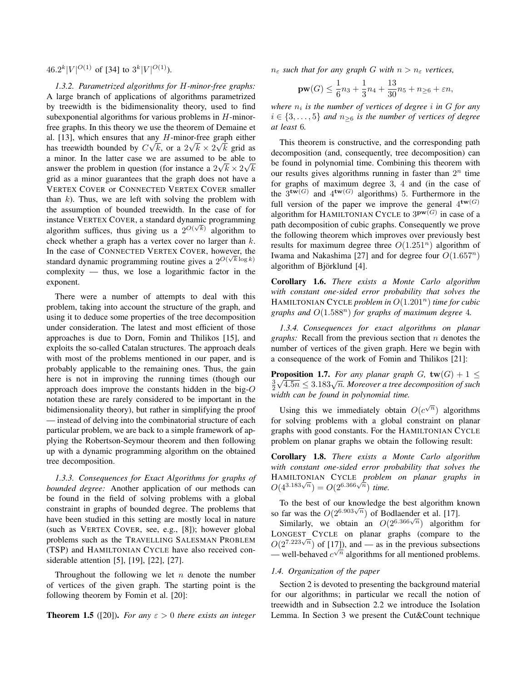$46.2^k|V|^{O(1)}$  of [34] to  $3^k|V|^{O(1)}$ ).

*1.3.2. Parametrized algorithms for* H*-minor-free graphs:* A large branch of applications of algorithms parametrized by treewidth is the bidimensionality theory, used to find subexponential algorithms for various problems in  $H$ -minorfree graphs. In this theory we use the theorem of Demaine et al. [13], which ensures that any  $H$ -minor-free graph either has treewidth bounded by  $C\sqrt{k}$ , or a  $2\sqrt{k} \times 2\sqrt{k}$  grid as a minor. In the latter case we are assumed to be able to answer the problem in question (for instance a  $2\sqrt{k} \times 2\sqrt{k}$ grid as a minor guarantees that the graph does not have a VERTEX COVER or CONNECTED VERTEX COVER smaller than  $k$ ). Thus, we are left with solving the problem with the assumption of bounded treewidth. In the case of for instance VERTEX COVER, a standard dynamic programming algorithm suffices, thus giving us a  $2^{O(\sqrt{k})}$  algorithm to check whether a graph has a vertex cover no larger than  $k$ . In the case of CONNECTED VERTEX COVER, however, the standard dynamic programming routine gives a  $2^{O(\sqrt{k} \log k)}$ complexity — thus, we lose a logarithmic factor in the exponent.

There were a number of attempts to deal with this problem, taking into account the structure of the graph, and using it to deduce some properties of the tree decomposition under consideration. The latest and most efficient of those approaches is due to Dorn, Fomin and Thilikos [15], and exploits the so-called Catalan structures. The approach deals with most of the problems mentioned in our paper, and is probably applicable to the remaining ones. Thus, the gain here is not in improving the running times (though our approach does improve the constants hidden in the big- $O$ notation these are rarely considered to be important in the bidimensionality theory), but rather in simplifying the proof — instead of delving into the combinatorial structure of each particular problem, we are back to a simple framework of applying the Robertson-Seymour theorem and then following up with a dynamic programming algorithm on the obtained tree decomposition.

*1.3.3. Consequences for Exact Algorithms for graphs of bounded degree:* Another application of our methods can be found in the field of solving problems with a global constraint in graphs of bounded degree. The problems that have been studied in this setting are mostly local in nature (such as VERTEX COVER, see, e.g., [8]); however global problems such as the TRAVELLING SALESMAN PROBLEM (TSP) and HAMILTONIAN CYCLE have also received considerable attention [5], [19], [22], [27].

Throughout the following we let  $n$  denote the number of vertices of the given graph. The starting point is the following theorem by Fomin et al. [20]:

**Theorem 1.5** ([20]). *For any*  $\varepsilon > 0$  *there exists an integer* 

 $n_{\varepsilon}$  *such that for any graph G with*  $n > n_{\varepsilon}$  *vertices,* 

$$
\mathbf{pw}(G) \le \frac{1}{6}n_3 + \frac{1}{3}n_4 + \frac{13}{30}n_5 + n_{\ge 6} + \varepsilon n,
$$

 $where n<sub>i</sub> is the number of vertices of degree i in G for any$  $i \in \{3, \ldots, 5\}$  *and*  $n_{\geq 6}$  *is the number of vertices of degree at least* 6*.*

This theorem is constructive, and the corresponding path decomposition (and, consequently, tree decomposition) can be found in polynomial time. Combining this theorem with our results gives algorithms running in faster than  $2^n$  time for graphs of maximum degree 3, 4 and (in the case of the  $3^{\mathbf{tw}(G)}$  and  $4^{\mathbf{tw}(G)}$  algorithms) 5. Furthermore in the full version of the paper we improve the general  $4^{\mathbf{tw}(G)}$ algorithm for HAMILTONIAN CYCLE to  $3^{pw(G)}$  in case of a path decomposition of cubic graphs. Consequently we prove the following theorem which improves over previously best results for maximum degree three  $O(1.251<sup>n</sup>)$  algorithm of Iwama and Nakashima [27] and for degree four  $O(1.657<sup>n</sup>)$ algorithm of Björklund [4].

Corollary 1.6. *There exists a Monte Carlo algorithm with constant one-sided error probability that solves the* HAMILTONIAN CYCLE *problem in*  $O(1.201<sup>n</sup>)$  *time for cubic graphs and* O(1.588n) *for graphs of maximum degree* 4*.*

*1.3.4. Consequences for exact algorithms on planar graphs:* Recall from the previous section that *n* denotes the number of vertices of the given graph. Here we begin with a consequence of the work of Fomin and Thilikos [21]:

**Proposition 1.7.** For any planar graph G,  $\mathbf{tw}(G) + 1 \leq$ **Exposition 1.7.** For any planar graph G,  $\mathbf{tw}(\mathbf{G}) + 1 \leq \frac{3}{2}\sqrt{4.5n} \leq 3.183\sqrt{n}$ . Moreover a tree decomposition of such *width can be found in polynomial time.*

Using this we immediately obtain  $O(c^{\sqrt{n}})$  algorithms for solving problems with a global constraint on planar graphs with good constants. For the HAMILTONIAN CYCLE problem on planar graphs we obtain the following result:

Corollary 1.8. *There exists a Monte Carlo algorithm with constant one-sided error probability that solves the* HAMILTONIAN CYCLE *problem on planar graphs in*  $O(4^{3.183\sqrt{n}}) = O(2^{6.366\sqrt{n}})$  time.

To the best of our knowledge the best algorithm known so far was the  $O(2^{6.903\sqrt{n}})$  of Bodlaender et al. [17].

Similarly, we obtain an  $O(2^{6.366\sqrt{n}})$  algorithm for LONGEST CYCLE on planar graphs (compare to the  $O(2^{7.223\sqrt{n}})$  of [17]), and — as in the previous subsections — well-behaved  $c^{\sqrt{n}}$  algorithms for all mentioned problems.

## *1.4. Organization of the paper*

Section 2 is devoted to presenting the background material for our algorithms; in particular we recall the notion of treewidth and in Subsection 2.2 we introduce the Isolation Lemma. In Section 3 we present the Cut&Count technique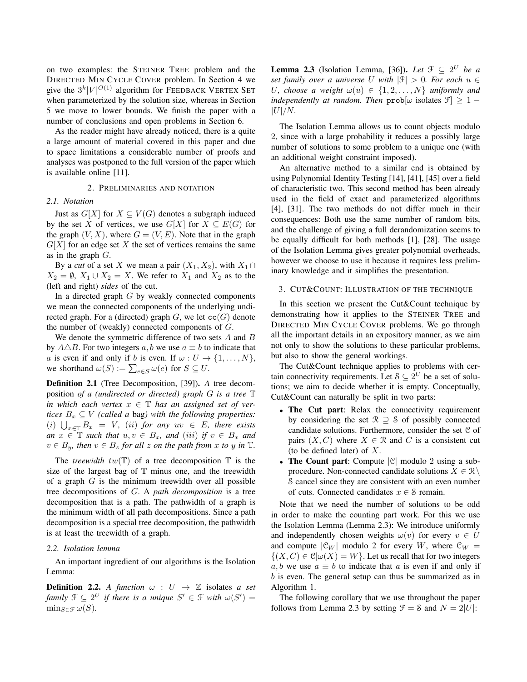on two examples: the STEINER TREE problem and the DIRECTED MIN CYCLE COVER problem. In Section 4 we give the  $3^k|V|^{O(1)}$  algorithm for FEEDBACK VERTEX SET when parameterized by the solution size, whereas in Section 5 we move to lower bounds. We finish the paper with a number of conclusions and open problems in Section 6.

As the reader might have already noticed, there is a quite a large amount of material covered in this paper and due to space limitations a considerable number of proofs and analyses was postponed to the full version of the paper which is available online [11].

#### 2. PRELIMINARIES AND NOTATION

#### *2.1. Notation*

Just as  $G[X]$  for  $X \subseteq V(G)$  denotes a subgraph induced by the set X of vertices, we use  $G[X]$  for  $X \subseteq E(G)$  for the graph  $(V, X)$ , where  $G = (V, E)$ . Note that in the graph  $G[X]$  for an edge set X the set of vertices remains the same as in the graph  $G$ .

By a *cut* of a set X we mean a pair  $(X_1, X_2)$ , with  $X_1 \cap$  $X_2 = \emptyset$ ,  $X_1 \cup X_2 = X$ . We refer to  $X_1$  and  $X_2$  as to the (left and right) *sides* of the cut.

In a directed graph  $G$  by weakly connected components we mean the connected components of the underlying undirected graph. For a (directed) graph  $G$ , we let  $cc(G)$  denote the number of (weakly) connected components of G.

We denote the symmetric difference of two sets A and B by  $A\triangle B$ . For two integers a, b we use  $a \equiv b$  to indicate that a is even if and only if b is even. If  $\omega : U \to \{1, \dots, N\},$ we shorthand  $\omega(S) := \sum_{e \in S} \omega(e)$  for  $S \subseteq U$ .

Definition 2.1 (Tree Decomposition, [39]). *A* tree decomposition *of a (undirected or directed) graph* G *is a tree* T *in which each vertex*  $x \in \mathbb{T}$  *has an assigned set of vertices*  $B_x \subseteq V$  *(called a bag) with the following properties:*  $(i)$   $\bigcup_{x \in \mathbb{T}} B_x = V$ ,  $(ii)$  *for any*  $uv \in E$ , *there exists an*  $x \in \mathbb{T}$  *such that*  $u, v \in B_x$ *, and* (*iii*) *if*  $v \in B_x$  *and*  $v \in B_y$ , then  $v \in B_z$  for all z on the path from x to y in  $\mathbb{T}$ .

The *treewidth*  $tw(\mathbb{T})$  of a tree decomposition  $\mathbb{T}$  is the size of the largest bag of  $T$  minus one, and the treewidth of a graph  $G$  is the minimum treewidth over all possible tree decompositions of G. A *path decomposition* is a tree decomposition that is a path. The pathwidth of a graph is the minimum width of all path decompositions. Since a path decomposition is a special tree decomposition, the pathwidth is at least the treewidth of a graph.

#### *2.2. Isolation lemma*

An important ingredient of our algorithms is the Isolation Lemma:

**Definition 2.2.** A function  $\omega : U \rightarrow \mathbb{Z}$  isolates a set *family*  $\mathfrak{F} \subseteq 2^U$  *if there is a unique*  $S' \in \mathfrak{F}$  *with*  $\omega(S') =$  $\min_{S \in \mathcal{F}} \omega(S)$ .

**Lemma 2.3** (Isolation Lemma, [36]). Let  $\mathcal{F} \subseteq 2^U$  be a *set family over a universe* U *with*  $|\mathcal{F}| > 0$ *. For each*  $u \in$ U, choose a weight  $\omega(u) \in \{1, 2, ..., N\}$  uniformly and *independently at random. Then*  $prob[\omega]$  isolates  $\mathcal{F}] \geq 1 |U|/N$ .

The Isolation Lemma allows us to count objects modulo 2, since with a large probability it reduces a possibly large number of solutions to some problem to a unique one (with an additional weight constraint imposed).

An alternative method to a similar end is obtained by using Polynomial Identity Testing [14], [41], [45] over a field of characteristic two. This second method has been already used in the field of exact and parameterized algorithms [4], [31]. The two methods do not differ much in their consequences: Both use the same number of random bits, and the challenge of giving a full derandomization seems to be equally difficult for both methods [1], [28]. The usage of the Isolation Lemma gives greater polynomial overheads, however we choose to use it because it requires less preliminary knowledge and it simplifies the presentation.

# 3. CUT&COUNT: ILLUSTRATION OF THE TECHNIQUE

In this section we present the Cut&Count technique by demonstrating how it applies to the STEINER TREE and DIRECTED MIN CYCLE COVER problems. We go through all the important details in an expository manner, as we aim not only to show the solutions to these particular problems, but also to show the general workings.

The Cut&Count technique applies to problems with certain connectivity requirements. Let  $S \subseteq 2^U$  be a set of solutions; we aim to decide whether it is empty. Conceptually, Cut&Count can naturally be split in two parts:

- The Cut part: Relax the connectivity requirement by considering the set  $\mathcal{R} \supseteq \mathcal{S}$  of possibly connected candidate solutions. Furthermore, consider the set C of pairs  $(X, C)$  where  $X \in \mathcal{R}$  and C is a consistent cut (to be defined later) of  $X$ .
- The Count part: Compute  $|\mathcal{C}|$  modulo 2 using a subprocedure. Non-connected candidate solutions  $X \in \mathbb{R} \setminus \mathbb{R}$ S cancel since they are consistent with an even number of cuts. Connected candidates  $x \in \mathcal{S}$  remain.

Note that we need the number of solutions to be odd in order to make the counting part work. For this we use the Isolation Lemma (Lemma 2.3): We introduce uniformly and independently chosen weights  $\omega(v)$  for every  $v \in U$ and compute  $|\mathfrak{C}_W|$  modulo 2 for every W, where  $\mathfrak{C}_W$  =  $\{(X, C) \in \mathcal{C} | \omega(X) = W\}$ . Let us recall that for two integers a, b we use  $a \equiv b$  to indicate that a is even if and only if b is even. The general setup can thus be summarized as in Algorithm 1.

The following corollary that we use throughout the paper follows from Lemma 2.3 by setting  $\mathcal{F} = \mathcal{S}$  and  $N = 2|U|$ :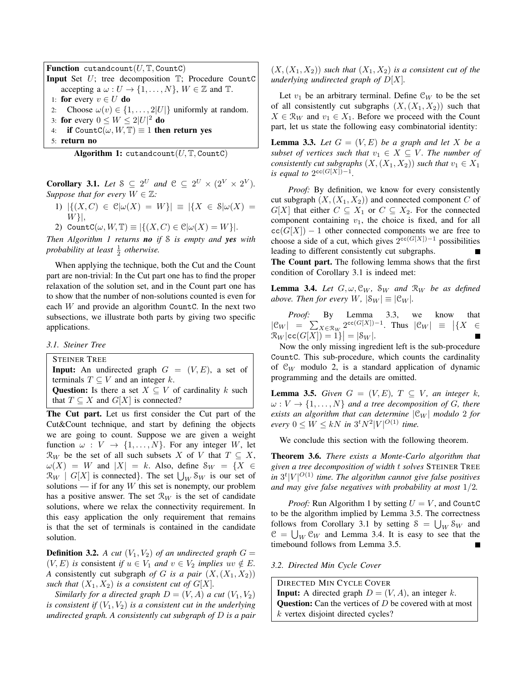**Function** cutandcount( $U$ ,  $T$ , CountC) Input Set U; tree decomposition T; Procedure CountC accepting a  $\omega: U \to \{1, \ldots, N\}, W \in \mathbb{Z}$  and  $\mathbb{T}$ . 1: for every  $v \in U$  do 2: Choose  $\omega(v) \in \{1, \ldots, 2|U|\}$  uniformly at random. 3: for every  $0 \leq W \leq 2|U|^2$  do 4: if CountC( $\omega$ ,  $W$ ,  $T$ )  $\equiv$  1 then return yes

5: return no

Algorithm 1: cutandcount $(U, T, CountC)$ 

**Corollary 3.1.** Let  $S \subseteq 2^U$  and  $C \subseteq 2^U \times (2^V \times 2^V)$ . *Suppose that for every*  $W \in \mathbb{Z}$ *:* 

- 1)  $|\{(X,C) \in \mathcal{C} | \omega(X) = W\}| \equiv |\{X \in \mathcal{S} | \omega(X) =$  $W\},$
- 2) Count $C(\omega, W, \mathbb{T}) \equiv |\{(X, C) \in \mathcal{C} | \omega(X) = W \}|.$

*Then Algorithm 1 returns no if* S *is empty and yes with probability at least*  $\frac{1}{2}$  *otherwise.* 

When applying the technique, both the Cut and the Count part are non-trivial: In the Cut part one has to find the proper relaxation of the solution set, and in the Count part one has to show that the number of non-solutions counted is even for each  $W$  and provide an algorithm Count C. In the next two subsections, we illustrate both parts by giving two specific applications.

*3.1. Steiner Tree*

STEINER TREE **Input:** An undirected graph  $G = (V, E)$ , a set of terminals  $T \subseteq V$  and an integer k. Question: Is there a set  $X \subseteq V$  of cardinality k such that  $T \subseteq X$  and  $G[X]$  is connected?

The Cut part. Let us first consider the Cut part of the Cut&Count technique, and start by defining the objects we are going to count. Suppose we are given a weight function  $\omega : V \to \{1, \ldots, N\}$ . For any integer W, let  $\mathcal{R}_W$  be the set of all such subsets X of V that  $T \subseteq X$ ,  $\omega(X) = W$  and  $|X| = k$ . Also, define  $S_W = \{X \in$  $\mathcal{R}_W$  |  $G[X]$  is connected}. The set  $\bigcup_W \mathcal{S}_W$  is our set of solutions — if for any  $W$  this set is nonempty, our problem has a positive answer. The set  $\mathcal{R}_W$  is the set of candidate solutions, where we relax the connectivity requirement. In this easy application the only requirement that remains is that the set of terminals is contained in the candidate solution.

**Definition 3.2.** *A cut*  $(V_1, V_2)$  *of an undirected graph*  $G =$  $(V, E)$  *is* consistent *if*  $u \in V_1$  *and*  $v \in V_2$  *implies*  $uv \notin E$ *. A* consistently cut subgraph *of* G is a pair  $(X, (X_1, X_2))$ *such that*  $(X_1, X_2)$  *is a consistent cut of G[X].* 

*Similarly for a directed graph*  $D = (V, A)$  *a cut*  $(V_1, V_2)$ *is consistent if*  $(V_1, V_2)$  *is a consistent cut in the underlying undirected graph. A consistently cut subgraph of* D *is a pair*  $(X,(X_1,X_2))$  *such that*  $(X_1,X_2)$  *is a consistent cut of the underlying undirected graph of* D[X]*.*

Let  $v_1$  be an arbitrary terminal. Define  $\mathcal{C}_W$  to be the set of all consistently cut subgraphs  $(X,(X_1,X_2))$  such that  $X \in \mathcal{R}_W$  and  $v_1 \in X_1$ . Before we proceed with the Count part, let us state the following easy combinatorial identity:

**Lemma 3.3.** Let  $G = (V, E)$  be a graph and let X be a *subset of vertices such that*  $v_1 \in X \subseteq V$ *. The number of consistently cut subgraphs*  $(X, (X_1, X_2))$  *such that*  $v_1 \in X_1$ *is equal to*  $2^{cc(G[X])-1}$ *.* 

*Proof:* By definition, we know for every consistently cut subgraph  $(X,(X_1,X_2))$  and connected component C of  $G[X]$  that either  $C \subseteq X_1$  or  $C \subseteq X_2$ . For the connected component containing  $v_1$ , the choice is fixed, and for all  $cc(G[X]) - 1$  other connected components we are free to choose a side of a cut, which gives  $2^{cc(G[X])-1}$  possibilities leading to different consistently cut subgraphs. The Count part. The following lemma shows that the first condition of Corollary 3.1 is indeed met:

**Lemma 3.4.** Let  $G, \omega, \mathcal{C}_W$ ,  $\mathcal{S}_W$  and  $\mathcal{R}_W$  be as defined *above. Then for every* W,  $|\mathcal{S}_W| \equiv |\mathcal{C}_W|$ *.* 

*Proof:* By Lemma 3.3, we know that  $|\mathcal{C}_W| = \sum_{X \in \mathcal{R}_W} 2^{\mathsf{cc}(G[X]) - 1}$ . Thus  $|\mathcal{C}_W| \equiv |\{X \in$  $\mathcal{R}_W | \textsf{cc}(G[X]) = 1 \} = |S_W|.$ 

Now the only missing ingredient left is the sub-procedure CountC. This sub-procedure, which counts the cardinality of  $\mathcal{C}_W$  modulo 2, is a standard application of dynamic programming and the details are omitted.

**Lemma 3.5.** *Given*  $G = (V, E)$ ,  $T \subseteq V$ *, an integer k,*  $\omega: V \to \{1, \ldots, N\}$  and a tree decomposition of G, there *exists an algorithm that can determine*  $|\mathfrak{C}_W|$  *modulo* 2 *for every*  $0 \le W \le kN$  *in*  $3^tN^2|V|^{O(1)}$  *time.* 

We conclude this section with the following theorem.

Theorem 3.6. *There exists a Monte-Carlo algorithm that given a tree decomposition of width* t *solves* STEINER TREE in  $3^t|V|^{O(1)}$  *time. The algorithm cannot give false positives and may give false negatives with probability at most* 1/2*.*

*Proof:* Run Algorithm 1 by setting  $U = V$ , and CountC to be the algorithm implied by Lemma 3.5. The correctness follows from Corollary 3.1 by setting  $S = \bigcup_W S_W$  and  $\mathcal{C} = \bigcup_W \mathcal{C}_W$  and Lemma 3.4. It is easy to see that the timebound follows from Lemma 3.5. п

*3.2. Directed Min Cycle Cover*

DIRECTED MIN CYCLE COVER **Input:** A directed graph  $D = (V, A)$ , an integer k. **Question:** Can the vertices of  $D$  be covered with at most k vertex disjoint directed cycles?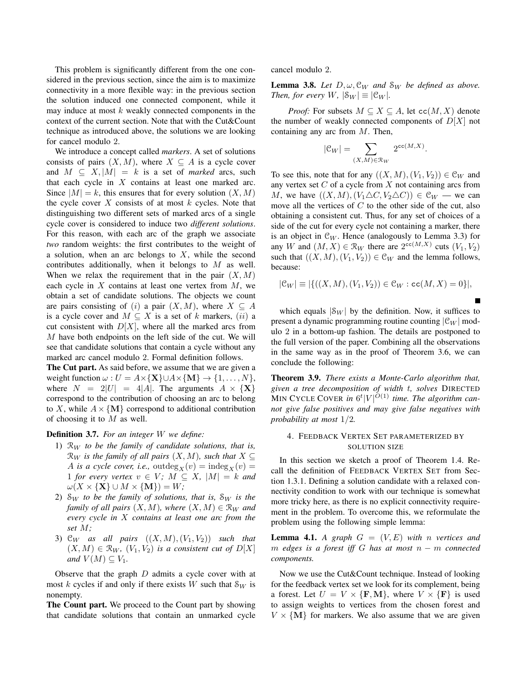This problem is significantly different from the one considered in the previous section, since the aim is to maximize connectivity in a more flexible way: in the previous section the solution induced one connected component, while it may induce at most  $k$  weakly connected components in the context of the current section. Note that with the Cut&Count technique as introduced above, the solutions we are looking for cancel modulo 2.

We introduce a concept called *markers*. A set of solutions consists of pairs  $(X, M)$ , where  $X \subseteq A$  is a cycle cover and  $M \subseteq X, |M| = k$  is a set of *marked* arcs, such that each cycle in  $X$  contains at least one marked arc. Since  $|M| = k$ , this ensures that for every solution  $(X, M)$ the cycle cover  $X$  consists of at most  $k$  cycles. Note that distinguishing two different sets of marked arcs of a single cycle cover is considered to induce two *different solutions*. For this reason, with each arc of the graph we associate *two* random weights: the first contributes to the weight of a solution, when an arc belongs to  $X$ , while the second contributes additionally, when it belongs to M as well. When we relax the requirement that in the pair  $(X, M)$ each cycle in  $X$  contains at least one vertex from  $M$ , we obtain a set of candidate solutions. The objects we count are pairs consisting of (i) a pair  $(X, M)$ , where  $X \subseteq A$ is a cycle cover and  $M \subseteq X$  is a set of k markers, (ii) a cut consistent with  $D[X]$ , where all the marked arcs from M have both endpoints on the left side of the cut. We will see that candidate solutions that contain a cycle without any marked arc cancel modulo 2. Formal definition follows.

The Cut part. As said before, we assume that we are given a weight function  $\omega : U = A \times {\mathbf{X}} \cup A \times {\mathbf{M}} \rightarrow \{1, \dots, N\},\$ where  $N = 2|U| = 4|A|$ . The arguments  $A \times \{X\}$ correspond to the contribution of choosing an arc to belong to X, while  $A \times \{M\}$  correspond to additional contribution of choosing it to  $M$  as well.

## Definition 3.7. *For an integer* W *we define:*

- 1)  $\mathcal{R}_W$  *to be the family of candidate solutions, that is,*  $\mathcal{R}_W$  *is the family of all pairs*  $(X, M)$ *, such that*  $X \subseteq$ A *is a cycle cover, i.e.*, outdeg<sub>X</sub> $(v)$  = indeg<sub>X</sub> $(v)$  = 1 *for every vertex*  $v \in V$ ;  $M \subseteq X$ ,  $|M| = k$  *and*  $\omega(X \times {\{\mathbf{X}\}\cup M \times {\{\mathbf{M}\}\}\ = W};$
- 2)  $\mathcal{S}_W$  *to be the family of solutions, that is,*  $\mathcal{S}_W$  *is the family of all pairs*  $(X, M)$ *, where*  $(X, M) \in \mathcal{R}_W$  *and every cycle in* X *contains at least one arc from the set* M*;*
- 3)  $\mathcal{C}_W$  *as all pairs*  $((X, M), (V_1, V_2))$  *such that*  $(X, M) \in \mathcal{R}_W$ ,  $(V_1, V_2)$  *is a consistent cut of*  $D[X]$ *and*  $V(M) \subseteq V_1$ .

Observe that the graph  $D$  admits a cycle cover with at most k cycles if and only if there exists W such that  $\mathcal{S}_W$  is nonempty.

The Count part. We proceed to the Count part by showing that candidate solutions that contain an unmarked cycle cancel modulo 2.

**Lemma 3.8.** *Let*  $D, \omega, \mathcal{C}_W$  *and*  $\mathcal{S}_W$  *be defined as above. Then, for every* W,  $|\mathcal{S}_W| \equiv |\mathcal{C}_W|$ *.* 

*Proof:* For subsets  $M \subseteq X \subseteq A$ , let  $cc(M, X)$  denote the number of weakly connected components of  $D[X]$  not containing any arc from M. Then,

$$
|\mathcal{C}_W| = \sum_{(X,M)\in\mathcal{R}_W} 2^{\text{cc}(M,X)}.
$$

To see this, note that for any  $((X, M), (V_1, V_2)) \in \mathcal{C}_W$  and any vertex set  $C$  of a cycle from  $X$  not containing arcs from M, we have  $((X, M), (V_1 \triangle C, V_2 \triangle C)) \in \mathcal{C}_W$  — we can move all the vertices of  $C$  to the other side of the cut, also obtaining a consistent cut. Thus, for any set of choices of a side of the cut for every cycle not containing a marker, there is an object in  $\mathcal{C}_W$ . Hence (analogously to Lemma 3.3) for any W and  $(M, X) \in \mathcal{R}_W$  there are  $2^{\text{cc}(M,X)}$  cuts  $(V_1, V_2)$ such that  $((X, M), (V_1, V_2)) \in \mathfrak{C}_W$  and the lemma follows, because:

$$
|\mathcal{C}_W| \equiv |\{((X, M), (V_1, V_2)) \in \mathcal{C}_W : \mathtt{cc}(M, X) = 0\}|,
$$

which equals  $|\mathcal{S}_W|$  by the definition. Now, it suffices to present a dynamic programming routine counting  $|\mathcal{C}_W|$  modulo 2 in a bottom-up fashion. The details are postponed to the full version of the paper. Combining all the observations in the same way as in the proof of Theorem 3.6, we can conclude the following:

Theorem 3.9. *There exists a Monte-Carlo algorithm that, given a tree decomposition of width* t*, solves* DIRECTED MIN CYCLE COVER in  $6^t|V|^{O(1)}$  time. The algorithm can*not give false positives and may give false negatives with probability at most* 1/2*.*

# 4. FEEDBACK VERTEX SET PARAMETERIZED BY SOLUTION SIZE

In this section we sketch a proof of Theorem 1.4. Recall the definition of FEEDBACK VERTEX SET from Section 1.3.1. Defining a solution candidate with a relaxed connectivity condition to work with our technique is somewhat more tricky here, as there is no explicit connectivity requirement in the problem. To overcome this, we reformulate the problem using the following simple lemma:

**Lemma 4.1.** A graph  $G = (V, E)$  with n vertices and m *edges is a forest iff* G *has at most* n − m *connected components.*

Now we use the Cut&Count technique. Instead of looking for the feedback vertex set we look for its complement, being a forest. Let  $U = V \times {\bf{F}, M}$ , where  $V \times {\bf{F}}$  is used to assign weights to vertices from the chosen forest and  $V \times \{M\}$  for markers. We also assume that we are given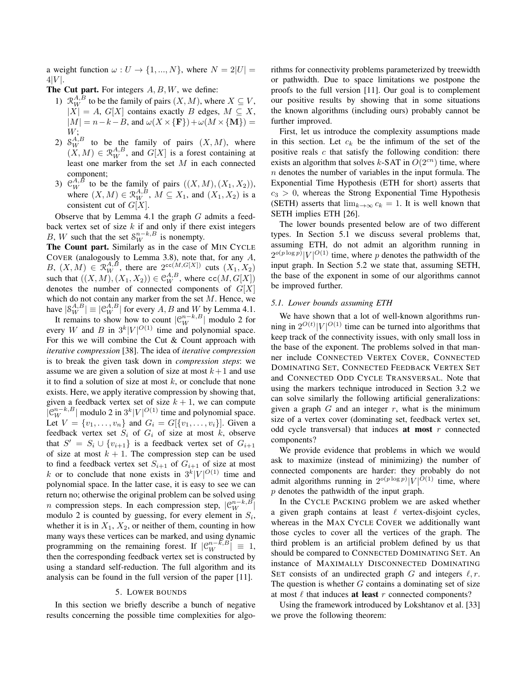a weight function  $\omega : U \to \{1, ..., N\}$ , where  $N = 2|U|$  $4|V|$ .

The Cut part. For integers  $A, B, W$ , we define:

- 1)  $\mathcal{R}_W^{A,B}$  to be the family of pairs  $(X, M)$ , where  $X \subseteq V$ ,  $|X| = A$ ,  $G[X]$  contains exactly B edges,  $M \subseteq X$ ,  $|M| = n - k - B$ , and  $\omega(X \times {\bf F}) + \omega(M \times {\bf M}) =$ W;
- 2)  $\mathcal{S}_{W}^{A,B}$  to be the family of pairs  $(X, M)$ , where  $(X, M) \in \mathcal{R}_W^{A,B}$ , and  $G[X]$  is a forest containing at least one marker from the set M in each connected component;
- 3)  $\mathcal{C}_W^{A,B}$  to be the family of pairs  $((X,M),(X_1,X_2)),$ where  $(X, M) \in \mathcal{R}_W^{A,B}$ ,  $M \subseteq X_1$ , and  $(X_1, X_2)$  is a consistent cut of  $G[X]$ .

Observe that by Lemma 4.1 the graph  $G$  admits a feedback vertex set of size  $k$  if and only if there exist integers B, W such that the set  $S_W^{n-k, B}$  is nonempty.

The Count part. Similarly as in the case of MIN CYCLE COVER (analogously to Lemma 3.8), note that, for any  $A$ , B,  $(X, M) \in \mathbb{R}_W^{A, B}$ , there are  $2^{cc(M, G[X])}$  cuts  $(X_1, X_2)$ such that  $((X, M), (X_1, X_2)) \in \mathfrak{C}_W^{A,B}$ , where  $cc(M, G[X])$ denotes the number of connected components of  $G[X]$ which do not contain any marker from the set  $M$ . Hence, we have  $|\mathcal{S}_W^{A,B}| \equiv |\mathcal{C}_W^{A,B}|$  for every  $A, B$  and  $W$  by Lemma 4.1.

It remains to show how to count  $|\mathcal{C}_W^{n-k, B}|$  modulo 2 for every W and B in  $3^k |V|^{O(1)}$  time and polynomial space. For this we will combine the Cut & Count approach with *iterative compression* [38]. The idea of *iterative compression* is to break the given task down in *compression steps*: we assume we are given a solution of size at most  $k+1$  and use it to find a solution of size at most  $k$ , or conclude that none exists. Here, we apply iterative compression by showing that, given a feedback vertex set of size  $k + 1$ , we can compute  $|C_{W}^{n-k,B}|$  modulo 2 in  $3^k|V|^{O(1)}$  time and polynomial space. Let  $V = \{v_1, \ldots, v_n\}$  and  $G_i = G[\{v_1, \ldots, v_i\}]$ . Given a feedback vertex set  $S_i$  of  $G_i$  of size at most k, observe that  $S' = S_i \cup \{v_{i+1}\}\$ is a feedback vertex set of  $G_{i+1}$ of size at most  $k + 1$ . The compression step can be used to find a feedback vertex set  $S_{i+1}$  of  $G_{i+1}$  of size at most k or to conclude that none exists in  $3^k |V|^{O(1)}$  time and polynomial space. In the latter case, it is easy to see we can return no; otherwise the original problem can be solved using *n* compression steps. In each compression step,  $|C_{W}^{n-k,B}|$ modulo 2 is counted by guessing, for every element in  $S_i$ , whether it is in  $X_1, X_2$ , or neither of them, counting in how many ways these vertices can be marked, and using dynamic programming on the remaining forest. If  $| \mathcal{C}_W^{n-k, B} | \equiv 1$ , then the corresponding feedback vertex set is constructed by using a standard self-reduction. The full algorithm and its analysis can be found in the full version of the paper [11].

# 5. LOWER BOUNDS

In this section we briefly describe a bunch of negative results concerning the possible time complexities for algorithms for connectivity problems parameterized by treewidth or pathwidth. Due to space limitations we postpone the proofs to the full version [11]. Our goal is to complement our positive results by showing that in some situations the known algorithms (including ours) probably cannot be further improved.

First, let us introduce the complexity assumptions made in this section. Let  $c_k$  be the infimum of the set of the positive reals  $c$  that satisfy the following condition: there exists an algorithm that solves k-SAT in  $O(2^{cn})$  time, where  $n$  denotes the number of variables in the input formula. The Exponential Time Hypothesis (ETH for short) asserts that  $c_3 > 0$ , whereas the Strong Exponential Time Hypothesis (SETH) asserts that  $\lim_{k\to\infty} c_k = 1$ . It is well known that SETH implies ETH [26].

The lower bounds presented below are of two different types. In Section 5.1 we discuss several problems that, assuming ETH, do not admit an algorithm running in  $2^{o(p \log p)} |V|^{O(1)}$  time, where p denotes the pathwidth of the input graph. In Section 5.2 we state that, assuming SETH, the base of the exponent in some of our algorithms cannot be improved further.

## *5.1. Lower bounds assuming ETH*

We have shown that a lot of well-known algorithms running in  $2^{O(t)} |V|^{O(1)}$  time can be turned into algorithms that keep track of the connectivity issues, with only small loss in the base of the exponent. The problems solved in that manner include CONNECTED VERTEX COVER, CONNECTED DOMINATING SET, CONNECTED FEEDBACK VERTEX SET and CONNECTED ODD CYCLE TRANSVERSAL. Note that using the markers technique introduced in Section 3.2 we can solve similarly the following artificial generalizations: given a graph  $G$  and an integer  $r$ , what is the minimum size of a vertex cover (dominating set, feedback vertex set, odd cycle transversal) that induces at most  $r$  connected components?

We provide evidence that problems in which we would ask to maximize (instead of minimizing) the number of connected components are harder: they probably do not admit algorithms running in  $2^{o(p \log p)} |V|^{O(1)}$  time, where  $p$  denotes the pathwidth of the input graph.

In the CYCLE PACKING problem we are asked whether a given graph contains at least  $\ell$  vertex-disjoint cycles, whereas in the MAX CYCLE COVER we additionally want those cycles to cover all the vertices of the graph. The third problem is an artificial problem defined by us that should be compared to CONNECTED DOMINATING SET. An instance of MAXIMALLY DISCONNECTED DOMINATING SET consists of an undirected graph G and integers  $\ell, r$ . The question is whether  $G$  contains a dominating set of size at most  $\ell$  that induces **at least** r connected components?

Using the framework introduced by Lokshtanov et al. [33] we prove the following theorem: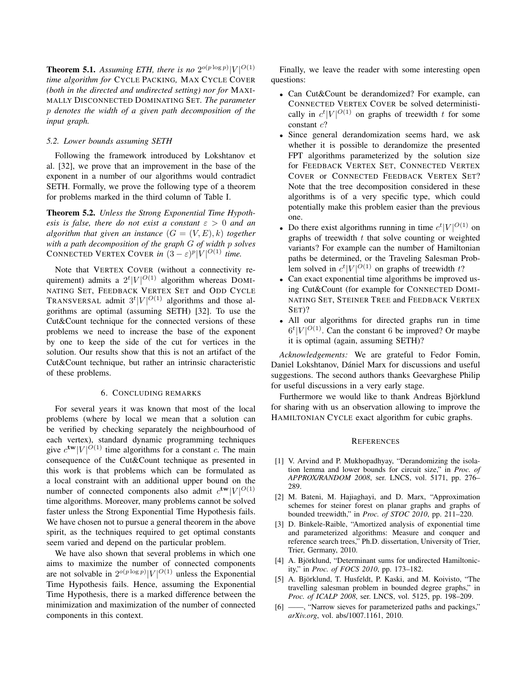**Theorem 5.1.** Assuming ETH, there is no  $2^{o(p \log p)} |V|^{O(1)}$ *time algorithm for* CYCLE PACKING*,* MAX CYCLE COVER *(both in the directed and undirected setting) nor for* MAXI-MALLY DISCONNECTED DOMINATING SET*. The parameter* p *denotes the width of a given path decomposition of the input graph.*

## *5.2. Lower bounds assuming SETH*

Following the framework introduced by Lokshtanov et al. [32], we prove that an improvement in the base of the exponent in a number of our algorithms would contradict SETH. Formally, we prove the following type of a theorem for problems marked in the third column of Table I.

Theorem 5.2. *Unless the Strong Exponential Time Hypothesis is false, there do not exist a constant*  $\varepsilon > 0$  *and an algorithm that given an instance*  $(G = (V, E), k)$  *together with a path decomposition of the graph* G *of width* p *solves* CONNECTED VERTEX COVER *in*  $(3 - \varepsilon)^p |V|^{O(1)}$  *time.* 

Note that VERTEX COVER (without a connectivity requirement) admits a  $2^t|V|^{O(1)}$  algorithm whereas DOMI-NATING SET, FEEDBACK VERTEX SET and ODD CYCLE TRANSVERSAL admit  $3^t |V|^{O(1)}$  algorithms and those algorithms are optimal (assuming SETH) [32]. To use the Cut&Count technique for the connected versions of these problems we need to increase the base of the exponent by one to keep the side of the cut for vertices in the solution. Our results show that this is not an artifact of the Cut&Count technique, but rather an intrinsic characteristic of these problems.

## 6. CONCLUDING REMARKS

For several years it was known that most of the local problems (where by local we mean that a solution can be verified by checking separately the neighbourhood of each vertex), standard dynamic programming techniques give  $c^{tw}|V|^{O(1)}$  time algorithms for a constant c. The main consequence of the Cut&Count technique as presented in this work is that problems which can be formulated as a local constraint with an additional upper bound on the number of connected components also admit  $c^{tw}|V|^{O(1)}$ time algorithms. Moreover, many problems cannot be solved faster unless the Strong Exponential Time Hypothesis fails. We have chosen not to pursue a general theorem in the above spirit, as the techniques required to get optimal constants seem varied and depend on the particular problem.

We have also shown that several problems in which one aims to maximize the number of connected components are not solvable in  $2^{o(p \log p)} |V|^{O(1)}$  unless the Exponential Time Hypothesis fails. Hence, assuming the Exponential Time Hypothesis, there is a marked difference between the minimization and maximization of the number of connected components in this context.

Finally, we leave the reader with some interesting open questions:

- Can Cut&Count be derandomized? For example, can CONNECTED VERTEX COVER be solved deterministically in  $c^t|V|^{O(1)}$  on graphs of treewidth t for some constant c?
- Since general derandomization seems hard, we ask whether it is possible to derandomize the presented FPT algorithms parameterized by the solution size for FEEDBACK VERTEX SET, CONNECTED VERTEX COVER or CONNECTED FEEDBACK VERTEX SET? Note that the tree decomposition considered in these algorithms is of a very specific type, which could potentially make this problem easier than the previous one.
- Do there exist algorithms running in time  $c^t|V|^{O(1)}$  on graphs of treewidth  $t$  that solve counting or weighted variants? For example can the number of Hamiltonian paths be determined, or the Traveling Salesman Problem solved in  $c^t |V|^{O(1)}$  on graphs of treewidth t?
- Can exact exponential time algorithms be improved using Cut&Count (for example for CONNECTED DOMI-NATING SET, STEINER TREE and FEEDBACK VERTEX SET)?
- All our algorithms for directed graphs run in time  $6<sup>t</sup>|V|<sup>O(1)</sup>$ . Can the constant 6 be improved? Or maybe it is optimal (again, assuming SETH)?

*Acknowledgements:* We are grateful to Fedor Fomin, Daniel Lokshtanov, Dániel Marx for discussions and useful suggestions. The second authors thanks Geevarghese Philip for useful discussions in a very early stage.

Furthermore we would like to thank Andreas Björklund for sharing with us an observation allowing to improve the HAMILTONIAN CYCLE exact algorithm for cubic graphs.

#### **REFERENCES**

- [1] V. Arvind and P. Mukhopadhyay, "Derandomizing the isolation lemma and lower bounds for circuit size," in *Proc. of APPROX/RANDOM 2008*, ser. LNCS, vol. 5171, pp. 276– 289.
- [2] M. Bateni, M. Hajiaghayi, and D. Marx, "Approximation schemes for steiner forest on planar graphs and graphs of bounded treewidth," in *Proc. of STOC 2010*, pp. 211–220.
- [3] D. Binkele-Raible, "Amortized analysis of exponential time and parameterized algorithms: Measure and conquer and reference search trees," Ph.D. dissertation, University of Trier, Trier, Germany, 2010.
- [4] A. Björklund, "Determinant sums for undirected Hamiltonicity," in *Proc. of FOCS 2010*, pp. 173–182.
- [5] A. Björklund, T. Husfeldt, P. Kaski, and M. Koivisto, "The travelling salesman problem in bounded degree graphs," in *Proc. of ICALP 2008*, ser. LNCS, vol. 5125, pp. 198–209.
- $\frac{1}{6}$  "Narrow sieves for parameterized paths and packings," *arXiv.org*, vol. abs/1007.1161, 2010.